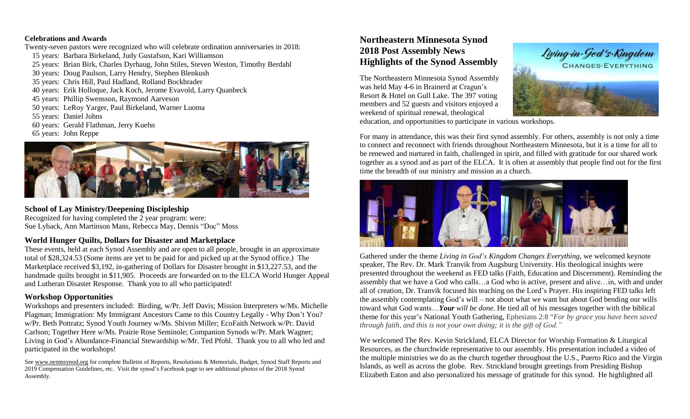#### **Celebrations and Awards**

- Twenty-seven pastors were recognized who will celebrate ordination anniversaries in 2018:
- 15 years: Barbara Birkeland, Judy Gustafson, Kari Williamson
- 25 years: Brian Birk, Charles Dyrhaug, John Stiles, Steven Weston, Timothy Berdahl
- 30 years: Doug Paulson, Larry Hendry, Stephen Blenkush
- 35 years: Chris Hill, Paul Hadland, Rolland Bockbrader
- 40 years: Erik Holloque, Jack Koch, Jerome Evavold, Larry Quanbeck
- 45 years: Phillip Swensson, Raymond Aarveson
- 50 years: LeRoy Yarger, Paul Birkeland, Warner Luoma
- 55 years: Daniel Johns
- 60 years: Gerald Flathman, Jerry Kuehn
- 65 years: John Reppe



## **School of Lay Ministry/Deepening Discipleship**

Recognized for having completed the 2 year program: were: Sue Lyback, Ann Martinson Mans, Rebecca May, Dennis "Doc" Moss

### **World Hunger Quilts, Dollars for Disaster and Marketplace**

These events, held at each Synod Assembly and are open to all people, brought in an approximate total of \$28,324.53 (Some items are yet to be paid for and picked up at the Synod office.) The Marketplace received \$3,192, in-gathering of Dollars for Disaster brought in \$13,227.53, and the handmade quilts brought in \$11,905. Proceeds are forwarded on to the ELCA World Hunger Appeal and Lutheran Disaster Response. Thank you to all who participated!

### **Workshop Opportunities**

Workshops and presenters included: Birding, w/Pr. Jeff Davis; Mission Interpreters w/Ms. Michelle Plagman; Immigration: My Immigrant Ancestors Came to this Country Legally - Why Don't You? w/Pr. Beth Pottratz; Synod Youth Journey w/Ms. Shivon Miller; EcoFaith Network w/Pr. David Carlson; Together Here w/Ms. Prairie Rose Seminole; Companion Synods w/Pr. Mark Wagner; Living in God's Abundance-Financial Stewardship w/Mr. Ted Pfohl. Thank you to all who led and participated in the workshops!

See [www.nemnsynod.org](file:///C:/Users/Marilyn/Desktop/www.nemnsynod.org) for complete Bulletin of Reports, Resolutions & Memorials, Budget, Synod Staff Reports and 2019 Compensation Guidelines, etc. Visit the synod's Facebook page to see additional photos of the 2018 Synod Assembly.

# **Northeastern Minnesota Synod 2018 Post Assembly News Highlights of the Synod Assembly**

The Northeastern Minnesota Synod Assembly was held May 4-6 in Brainerd at Cragun's Resort & Hotel on Gull Lake. The 397 voting members and 52 guests and visitors enjoyed a weekend of spiritual renewal, theological



education, and opportunities to participate in various workshops.

For many in attendance, this was their first synod assembly. For others, assembly is not only a time to connect and reconnect with friends throughout Northeastern Minnesota, but it is a time for all to be renewed and nurtured in faith, challenged in spirit, and filled with gratitude for our shared work together as a synod and as part of the ELCA. It is often at assembly that people find out for the first time the breadth of our ministry and mission as a church.



Gathered under the theme *Living in God's Kingdom Changes Everything*, we welcomed keynote speaker, The Rev. Dr. Mark Tranvik from Augsburg University. His theological insights were presented throughout the weekend as FED talks (Faith, Education and Discernment). Reminding the assembly that we have a God who calls…a God who is active, present and alive…in, with and under all of creation, Dr. Tranvik focused his teaching on the Lord's Prayer. His inspiring FED talks left the assembly contemplating God's will – not about what we want but about God bending our wills toward what God wants…*Your will be done*. He tied all of his messages together with the biblical theme for this year's National Youth Gathering, Ephesians 2:8 "*For by grace you have been saved through faith, and this is not your own doing; it is the gift of God."*

We welcomed The Rev. Kevin Strickland, ELCA Director for Worship Formation & Liturgical Resources, as the churchwide representative to our assembly. His presentation included a video of the multiple ministries we do as the church together throughout the U.S., Puerto Rico and the Virgin Islands, as well as across the globe. Rev. Strickland brought greetings from Presiding Bishop Elizabeth Eaton and also personalized his message of gratitude for this synod. He highlighted all